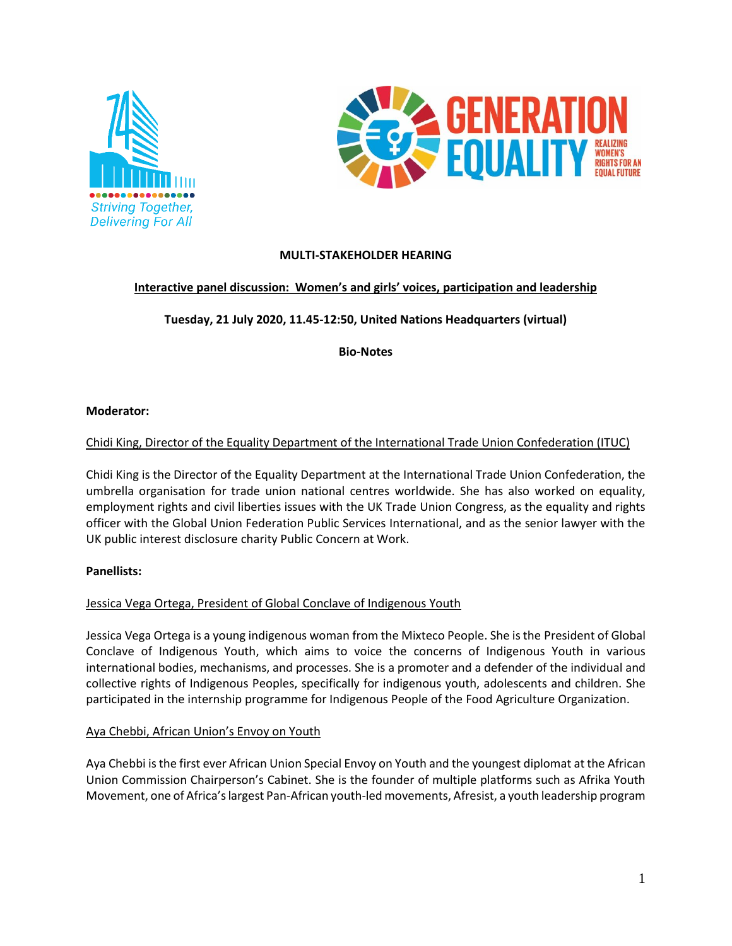



# **MULTI-STAKEHOLDER HEARING**

# **Interactive panel discussion: Women's and girls' voices, participation and leadership**

**Tuesday, 21 July 2020, 11.45-12:50, United Nations Headquarters (virtual)**

**Bio-Notes**

#### **Moderator:**

## Chidi King, Director of the Equality Department of the International Trade Union Confederation (ITUC)

Chidi King is the Director of the Equality Department at the International Trade Union Confederation, the umbrella organisation for trade union national centres worldwide. She has also worked on equality, employment rights and civil liberties issues with the UK Trade Union Congress, as the equality and rights officer with the Global Union Federation Public Services International, and as the senior lawyer with the UK public interest disclosure charity Public Concern at Work.

### **Panellists:**

### Jessica Vega Ortega, President of Global Conclave of Indigenous Youth

Jessica Vega Ortega is a young indigenous woman from the Mixteco People. She is the President of Global Conclave of Indigenous Youth, which aims to voice the concerns of Indigenous Youth in various international bodies, mechanisms, and processes. She is a promoter and a defender of the individual and collective rights of Indigenous Peoples, specifically for indigenous youth, adolescents and children. She participated in the internship programme for Indigenous People of the Food Agriculture Organization.

### Aya Chebbi, African Union's Envoy on Youth

Aya Chebbi isthe first ever African Union Special Envoy on Youth and the youngest diplomat at the African Union Commission Chairperson's Cabinet. She is the founder of multiple platforms such as Afrika Youth Movement, one of Africa's largest Pan-African youth-led movements, Afresist, a youth leadership program